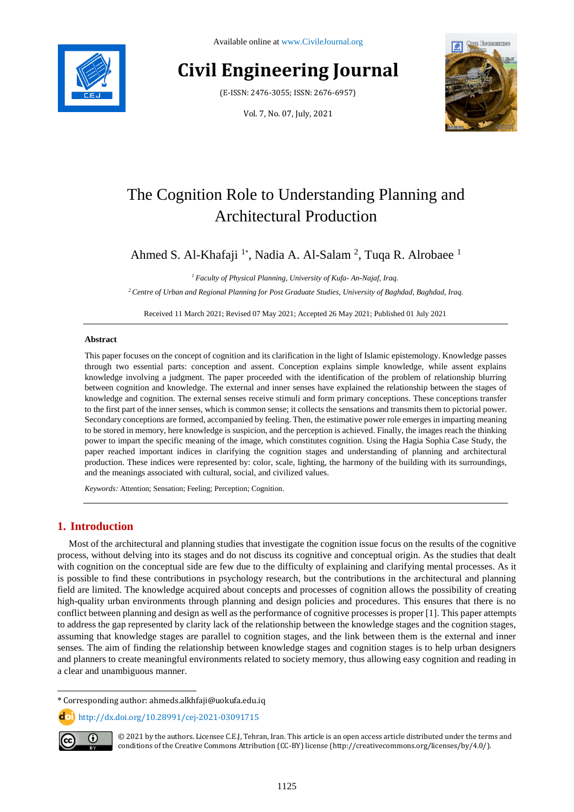Available online at [www.CivileJournal.org](http://www.civilejournal.org/)

# **Civil Engineering Journal**

(E-ISSN: 2476-3055; ISSN: 2676-6957)

Vol. 7, No. 07, July, 2021



# The Cognition Role to Understanding Planning and Architectural Production

Ahmed S. Al-Khafaji<sup>1\*</sup>, Nadia A. Al-Salam<sup>2</sup>, Tuqa R. Alrobaee<sup>1</sup>

*<sup>1</sup> Faculty of Physical Planning, University of Kufa- An-Najaf, Iraq.*

*<sup>2</sup>Centre of Urban and Regional Planning for Post Graduate Studies, University of Baghdad, Baghdad, Iraq.*

Received 11 March 2021; Revised 07 May 2021; Accepted 26 May 2021; Published 01 July 2021

# **Abstract**

This paper focuses on the concept of cognition and its clarification in the light of Islamic epistemology. Knowledge passes through two essential parts: conception and assent. Conception explains simple knowledge, while assent explains knowledge involving a judgment. The paper proceeded with the identification of the problem of relationship blurring between cognition and knowledge. The external and inner senses have explained the relationship between the stages of knowledge and cognition. The external senses receive stimuli and form primary conceptions. These conceptions transfer to the first part of the inner senses, which is common sense; it collects the sensations and transmits them to pictorial power. Secondary conceptions are formed, accompanied by feeling. Then, the estimative power role emerges in imparting meaning to be stored in memory, here knowledge is suspicion, and the perception is achieved. Finally, the images reach the thinking power to impart the specific meaning of the image, which constitutes cognition. Using the Hagia Sophia Case Study, the paper reached important indices in clarifying the cognition stages and understanding of planning and architectural production. These indices were represented by: color, scale, lighting, the harmony of the building with its surroundings, and the meanings associated with cultural, social, and civilized values.

*Keywords:* Attention; Sensation; Feeling; Perception; Cognition.

# **1. Introduction**

Most of the architectural and planning studies that investigate the cognition issue focus on the results of the cognitive process, without delving into its stages and do not discuss its cognitive and conceptual origin. As the studies that dealt with cognition on the conceptual side are few due to the difficulty of explaining and clarifying mental processes. As it is possible to find these contributions in psychology research, but the contributions in the architectural and planning field are limited. The knowledge acquired about concepts and processes of cognition allows the possibility of creating high-quality urban environments through planning and design policies and procedures. This ensures that there is no conflict between planning and design as well as the performance of cognitive processes is proper [1]. This paper attempts to address the gap represented by clarity lack of the relationship between the knowledge stages and the cognition stages, assuming that knowledge stages are parallel to cognition stages, and the link between them is the external and inner senses. The aim of finding the relationship between knowledge stages and cognition stages is to help urban designers and planners to create meaningful environments related to society memory, thus allowing easy cognition and reading in a clear and unambiguous manner.

**dol** http://dx.doi.org/10.28991/cej-2021-03091715



l

© 2021 by the authors. Licensee C.E.J, Tehran, Iran. This article is an open access article distributed under the terms and conditions of the Creative Commons Attribution (CC-BY) license (http:/[/creativecommons.org/](http://creativecommons.org/)licenses/by/4.0/).

<sup>\*</sup> Corresponding author: ahmeds.alkhfaji@uokufa.edu.iq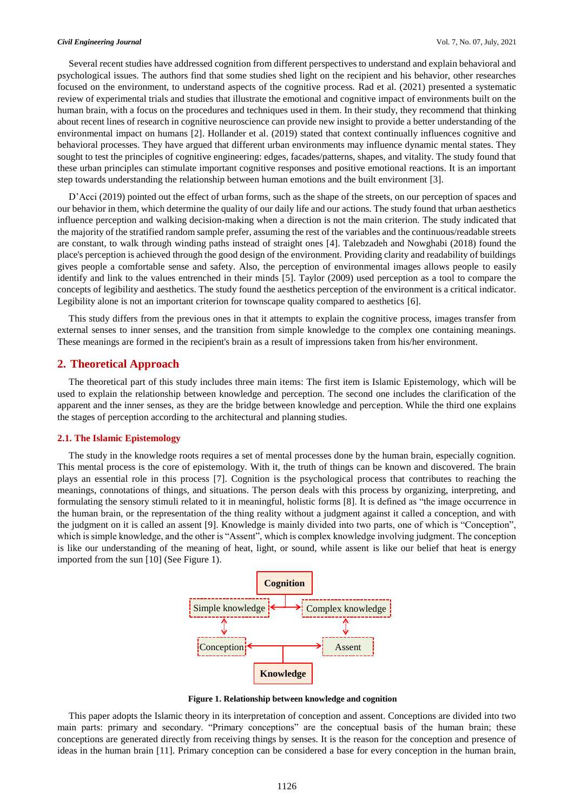Several recent studies have addressed cognition from different perspectives to understand and explain behavioral and psychological issues. The authors find that some studies shed light on the recipient and his behavior, other researches focused on the environment, to understand aspects of the cognitive process. Rad et al. (2021) presented a systematic review of experimental trials and studies that illustrate the emotional and cognitive impact of environments built on the human brain, with a focus on the procedures and techniques used in them. In their study, they recommend that thinking about recent lines of research in cognitive neuroscience can provide new insight to provide a better understanding of the environmental impact on humans [2]. Hollander et al. (2019) stated that context continually influences cognitive and behavioral processes. They have argued that different urban environments may influence dynamic mental states. They sought to test the principles of cognitive engineering: edges, facades/patterns, shapes, and vitality. The study found that these urban principles can stimulate important cognitive responses and positive emotional reactions. It is an important step towards understanding the relationship between human emotions and the built environment [3].

D'Acci (2019) pointed out the effect of urban forms, such as the shape of the streets, on our perception of spaces and our behavior in them, which determine the quality of our daily life and our actions. The study found that urban aesthetics influence perception and walking decision-making when a direction is not the main criterion. The study indicated that the majority of the stratified random sample prefer, assuming the rest of the variables and the continuous/readable streets are constant, to walk through winding paths instead of straight ones [4]. Talebzadeh and Nowghabi (2018) found the place's perception is achieved through the good design of the environment. Providing clarity and readability of buildings gives people a comfortable sense and safety. Also, the perception of environmental images allows people to easily identify and link to the values entrenched in their minds [5]. Taylor (2009) used perception as a tool to compare the concepts of legibility and aesthetics. The study found the aesthetics perception of the environment is a critical indicator. Legibility alone is not an important criterion for townscape quality compared to aesthetics [6].

This study differs from the previous ones in that it attempts to explain the cognitive process, images transfer from external senses to inner senses, and the transition from simple knowledge to the complex one containing meanings. These meanings are formed in the recipient's brain as a result of impressions taken from his/her environment.

# **2. Theoretical Approach**

The theoretical part of this study includes three main items: The first item is Islamic Epistemology, which will be used to explain the relationship between knowledge and perception. The second one includes the clarification of the apparent and the inner senses, as they are the bridge between knowledge and perception. While the third one explains the stages of perception according to the architectural and planning studies.

## **2.1. The Islamic Epistemology**

The study in the knowledge roots requires a set of mental processes done by the human brain, especially cognition. This mental process is the core of epistemology. With it, the truth of things can be known and discovered. The brain plays an essential role in this process [7]. Cognition is the psychological process that contributes to reaching the meanings, connotations of things, and situations. The person deals with this process by organizing, interpreting, and formulating the sensory stimuli related to it in meaningful, holistic forms [8]. It is defined as "the image occurrence in the human brain, or the representation of the thing reality without a judgment against it called a conception, and with the judgment on it is called an assent [9]. Knowledge is mainly divided into two parts, one of which is "Conception", which is simple knowledge, and the other is "Assent", which is complex knowledge involving judgment. The conception is like our understanding of the meaning of heat, light, or sound, while assent is like our belief that heat is energy imported from the sun [10] (See Figure 1).



**Figure 1. Relationship between knowledge and cognition**

This paper adopts the Islamic theory in its interpretation of conception and assent. Conceptions are divided into two main parts: primary and secondary. "Primary conceptions" are the conceptual basis of the human brain; these conceptions are generated directly from receiving things by senses. It is the reason for the conception and presence of ideas in the human brain [11]. Primary conception can be considered a base for every conception in the human brain,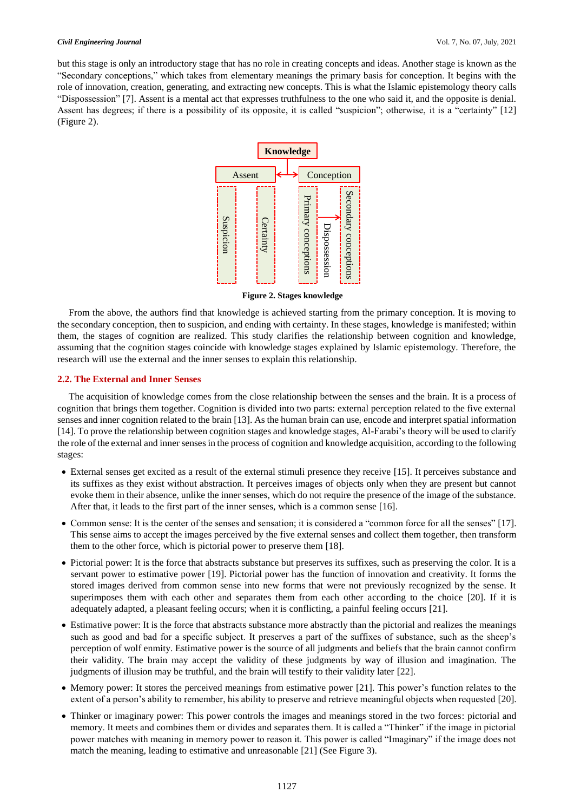#### *Civil Engineering Journal* Vol. 7, No. 07, July, 2021

but this stage is only an introductory stage that has no role in creating concepts and ideas. Another stage is known as the "Secondary conceptions," which takes from elementary meanings the primary basis for conception. It begins with the role of innovation, creation, generating, and extracting new concepts. This is what the Islamic epistemology theory calls "Dispossession" [7]. Assent is a mental act that expresses truthfulness to the one who said it, and the opposite is denial. Assent has degrees; if there is a possibility of its opposite, it is called "suspicion"; otherwise, it is a "certainty" [12] (Figure 2).



**Figure 2. Stages knowledge**

From the above, the authors find that knowledge is achieved starting from the primary conception. It is moving to the secondary conception, then to suspicion, and ending with certainty. In these stages, knowledge is manifested; within them, the stages of cognition are realized. This study clarifies the relationship between cognition and knowledge, assuming that the cognition stages coincide with knowledge stages explained by Islamic epistemology. Therefore, the research will use the external and the inner senses to explain this relationship.

## **2.2. The External and Inner Senses**

The acquisition of knowledge comes from the close relationship between the senses and the brain. It is a process of cognition that brings them together. Cognition is divided into two parts: external perception related to the five external senses and inner cognition related to the brain [13]. As the human brain can use, encode and interpret spatial information [14]. To prove the relationship between cognition stages and knowledge stages, Al-Farabi's theory will be used to clarify the role of the external and inner senses in the process of cognition and knowledge acquisition, according to the following stages:

- External senses get excited as a result of the external stimuli presence they receive [15]. It perceives substance and its suffixes as they exist without abstraction. It perceives images of objects only when they are present but cannot evoke them in their absence, unlike the inner senses, which do not require the presence of the image of the substance. After that, it leads to the first part of the inner senses, which is a common sense [16].
- Common sense: It is the center of the senses and sensation; it is considered a "common force for all the senses" [17]. This sense aims to accept the images perceived by the five external senses and collect them together, then transform them to the other force, which is pictorial power to preserve them [18].
- Pictorial power: It is the force that abstracts substance but preserves its suffixes, such as preserving the color. It is a servant power to estimative power [19]. Pictorial power has the function of innovation and creativity. It forms the stored images derived from common sense into new forms that were not previously recognized by the sense. It superimposes them with each other and separates them from each other according to the choice [20]. If it is adequately adapted, a pleasant feeling occurs; when it is conflicting, a painful feeling occurs [21].
- Estimative power: It is the force that abstracts substance more abstractly than the pictorial and realizes the meanings such as good and bad for a specific subject. It preserves a part of the suffixes of substance, such as the sheep's perception of wolf enmity. Estimative power is the source of all judgments and beliefs that the brain cannot confirm their validity. The brain may accept the validity of these judgments by way of illusion and imagination. The judgments of illusion may be truthful, and the brain will testify to their validity later [22].
- Memory power: It stores the perceived meanings from estimative power [21]. This power's function relates to the extent of a person's ability to remember, his ability to preserve and retrieve meaningful objects when requested [20].
- Thinker or imaginary power: This power controls the images and meanings stored in the two forces: pictorial and memory. It meets and combines them or divides and separates them. It is called a "Thinker" if the image in pictorial power matches with meaning in memory power to reason it. This power is called "Imaginary" if the image does not match the meaning, leading to estimative and unreasonable [21] (See Figure 3).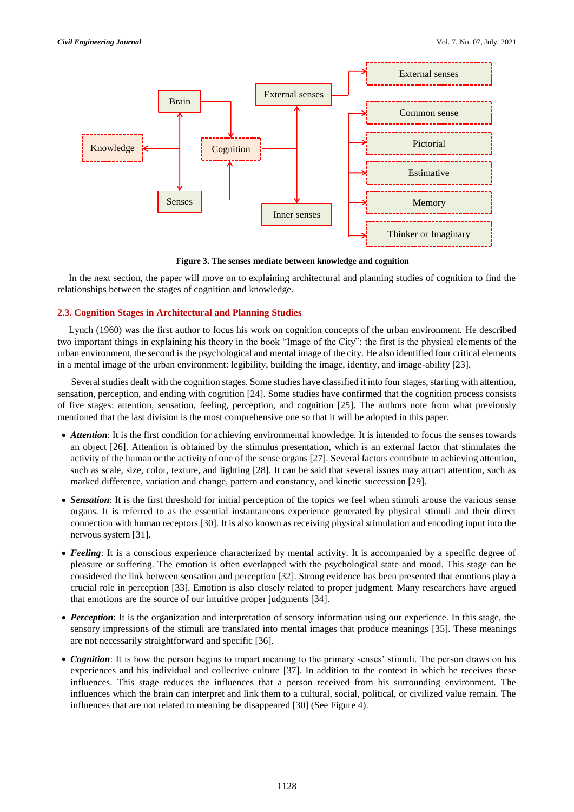

**Figure 3. The senses mediate between knowledge and cognition**

In the next section, the paper will move on to explaining architectural and planning studies of cognition to find the relationships between the stages of cognition and knowledge.

# **2.3. Cognition Stages in Architectural and Planning Studies**

Lynch (1960) was the first author to focus his work on cognition concepts of the urban environment. He described two important things in explaining his theory in the book "Image of the City": the first is the physical elements of the urban environment, the second is the psychological and mental image of the city. He also identified four critical elements in a mental image of the urban environment: legibility, building the image, identity, and image-ability [23].

Several studies dealt with the cognition stages. Some studies have classified it into four stages, starting with attention, sensation, perception, and ending with cognition [24]. Some studies have confirmed that the cognition process consists of five stages: attention, sensation, feeling, perception, and cognition [25]. The authors note from what previously mentioned that the last division is the most comprehensive one so that it will be adopted in this paper.

- *Attention*: It is the first condition for achieving environmental knowledge. It is intended to focus the senses towards an object [26]. Attention is obtained by the stimulus presentation, which is an external factor that stimulates the activity of the human or the activity of one of the sense organs [27]. Several factors contribute to achieving attention, such as scale, size, color, texture, and lighting [28]. It can be said that several issues may attract attention, such as marked difference, variation and change, pattern and constancy, and kinetic succession [29].
- *Sensation*: It is the first threshold for initial perception of the topics we feel when stimuli arouse the various sense organs. It is referred to as the essential instantaneous experience generated by physical stimuli and their direct connection with human receptors [30]. It is also known as receiving physical stimulation and encoding input into the nervous system [31].
- *Feeling*: It is a conscious experience characterized by mental activity. It is accompanied by a specific degree of pleasure or suffering. The emotion is often overlapped with the psychological state and mood. This stage can be considered the link between sensation and perception [32]. Strong evidence has been presented that emotions play a crucial role in perception [33]. Emotion is also closely related to proper judgment. Many researchers have argued that emotions are the source of our intuitive proper judgments [34].
- *Perception*: It is the organization and interpretation of sensory information using our experience. In this stage, the sensory impressions of the stimuli are translated into mental images that produce meanings [35]. These meanings are not necessarily straightforward and specific [36].
- *Cognition*: It is how the person begins to impart meaning to the primary senses' stimuli. The person draws on his experiences and his individual and collective culture [37]. In addition to the context in which he receives these influences. This stage reduces the influences that a person received from his surrounding environment. The influences which the brain can interpret and link them to a cultural, social, political, or civilized value remain. The influences that are not related to meaning be disappeared [30] (See Figure 4).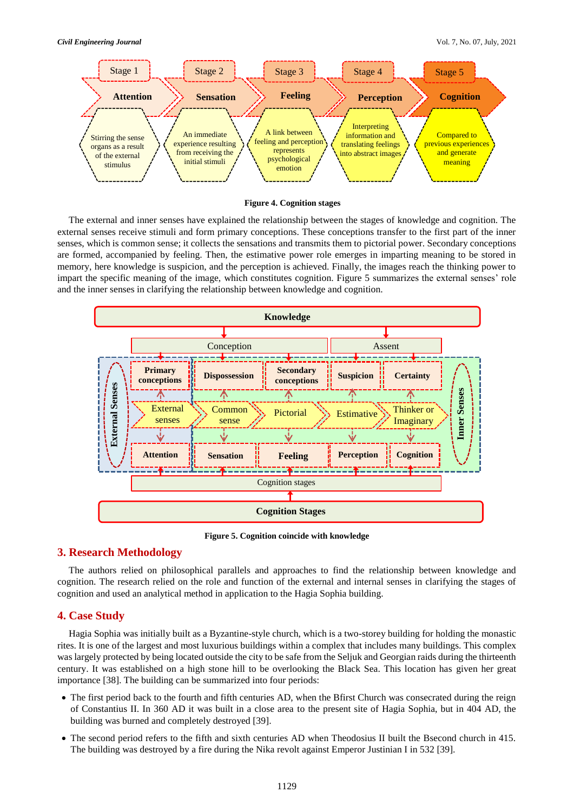



The external and inner senses have explained the relationship between the stages of knowledge and cognition. The external senses receive stimuli and form primary conceptions. These conceptions transfer to the first part of the inner senses, which is common sense; it collects the sensations and transmits them to pictorial power. Secondary conceptions are formed, accompanied by feeling. Then, the estimative power role emerges in imparting meaning to be stored in memory, here knowledge is suspicion, and the perception is achieved. Finally, the images reach the thinking power to impart the specific meaning of the image, which constitutes cognition. Figure 5 summarizes the external senses' role and the inner senses in clarifying the relationship between knowledge and cognition.



**Figure 5. Cognition coincide with knowledge**

# **3. Research Methodology**

The authors relied on philosophical parallels and approaches to find the relationship between knowledge and cognition. The research relied on the role and function of the external and internal senses in clarifying the stages of cognition and used an analytical method in application to the Hagia Sophia building.

# **4. Case Study**

Hagia Sophia was initially built as a Byzantine-style church, which is a two-storey building for holding the monastic rites. It is one of the largest and most luxurious buildings within a complex that includes many buildings. This complex was largely protected by being located outside the city to be safe from the Seljuk and Georgian raids during the thirteenth century. It was established on a high stone hill to be overlooking the Black Sea. This location has given her great importance [38]. The building can be summarized into four periods:

- The first period back to the fourth and fifth centuries AD, when the Bfirst Church was consecrated during the reign of Constantius II. In 360 AD it was built in a close area to the present site of Hagia Sophia, but in 404 AD, the building was burned and completely destroyed [39].
- The second period refers to the fifth and sixth centuries AD when Theodosius II built the Bsecond church in 415. The building was destroyed by a fire during the Nika revolt against Emperor Justinian I in 532 [39].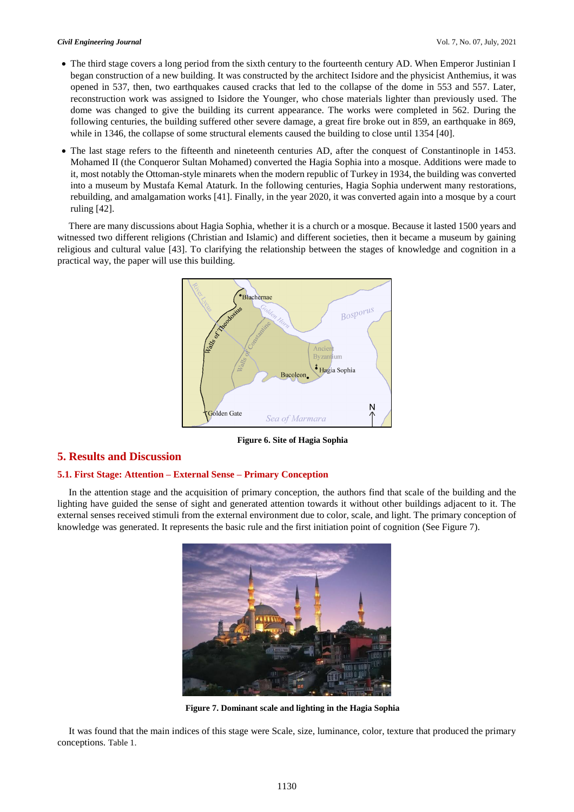- The third stage covers a long period from the sixth century to the fourteenth century AD. When Emperor Justinian I began construction of a new building. It was constructed by the architect Isidore and the physicist Anthemius, it was opened in 537, then, two earthquakes caused cracks that led to the collapse of the dome in 553 and 557. Later, reconstruction work was assigned to Isidore the Younger, who chose materials lighter than previously used. The dome was changed to give the building its current appearance. The works were completed in 562. During the following centuries, the building suffered other severe damage, a great fire broke out in 859, an earthquake in 869, while in 1346, the collapse of some structural elements caused the building to close until 1354 [40].
- The last stage refers to the fifteenth and nineteenth centuries AD, after the conquest of Constantinople in 1453. Mohamed II (the Conqueror Sultan Mohamed) converted the Hagia Sophia into a mosque. Additions were made to it, most notably the Ottoman-style minarets when the modern republic of Turkey in 1934, the building was converted into a museum by Mustafa Kemal Ataturk. In the following centuries, Hagia Sophia underwent many restorations, rebuilding, and amalgamation works [41]. Finally, in the year 2020, it was converted again into a mosque by a court ruling [42].

There are many discussions about Hagia Sophia, whether it is a church or a mosque. Because it lasted 1500 years and witnessed two different religions (Christian and Islamic) and different societies, then it became a museum by gaining religious and cultural value [43]. To clarifying the relationship between the stages of knowledge and cognition in a practical way, the paper will use this building.



**Figure 6. Site of Hagia Sophia**

# **5. Results and Discussion**

# **5.1. First Stage: Attention – External Sense – Primary Conception**

In the attention stage and the acquisition of primary conception, the authors find that scale of the building and the lighting have guided the sense of sight and generated attention towards it without other buildings adjacent to it. The external senses received stimuli from the external environment due to color, scale, and light. The primary conception of knowledge was generated. It represents the basic rule and the first initiation point of cognition (See Figure 7).



**Figure 7. Dominant scale and lighting in the Hagia Sophia**

It was found that the main indices of this stage were Scale, size, luminance, color, texture that produced the primary conceptions. Table 1.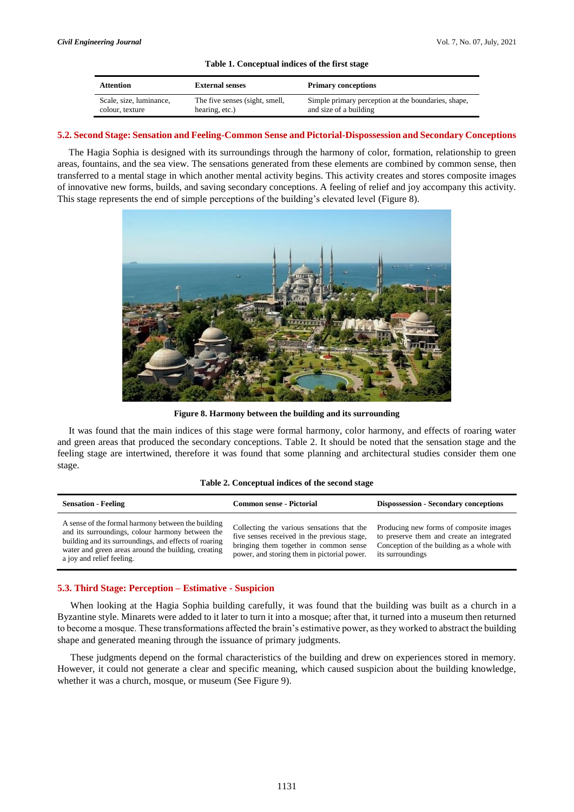## **Table 1. Conceptual indices of the first stage**

| Attention               | <b>External senses</b>         | <b>Primary conceptions</b>                          |
|-------------------------|--------------------------------|-----------------------------------------------------|
| Scale, size, luminance, | The five senses (sight, smell, | Simple primary perception at the boundaries, shape, |
| colour, texture         | hearing, etc.)                 | and size of a building                              |

## **5.2. Second Stage: Sensation and Feeling-Common Sense and Pictorial-Dispossession and Secondary Conceptions**

The Hagia Sophia is designed with its surroundings through the harmony of color, formation, relationship to green areas, fountains, and the sea view. The sensations generated from these elements are combined by common sense, then transferred to a mental stage in which another mental activity begins. This activity creates and stores composite images of innovative new forms, builds, and saving secondary conceptions. A feeling of relief and joy accompany this activity. This stage represents the end of simple perceptions of the building's elevated level (Figure 8).



**Figure 8. Harmony between the building and its surrounding**

It was found that the main indices of this stage were formal harmony, color harmony, and effects of roaring water and green areas that produced the secondary conceptions. Table 2. It should be noted that the sensation stage and the feeling stage are intertwined, therefore it was found that some planning and architectural studies consider them one stage.

#### **Table 2. Conceptual indices of the second stage**

| <b>Sensation - Feeling</b>                                                                                                                                                                                                                          | <b>Common sense - Pictorial</b>                                                                                                                                                    | <b>Dispossession - Secondary conceptions</b>                                                                                                           |
|-----------------------------------------------------------------------------------------------------------------------------------------------------------------------------------------------------------------------------------------------------|------------------------------------------------------------------------------------------------------------------------------------------------------------------------------------|--------------------------------------------------------------------------------------------------------------------------------------------------------|
| A sense of the formal harmony between the building<br>and its surroundings, colour harmony between the<br>building and its surroundings, and effects of roaring<br>water and green areas around the building, creating<br>a joy and relief feeling. | Collecting the various sensations that the<br>five senses received in the previous stage,<br>bringing them together in common sense<br>power, and storing them in pictorial power. | Producing new forms of composite images<br>to preserve them and create an integrated<br>Conception of the building as a whole with<br>its surroundings |

# **5.3. Third Stage: Perception – Estimative - Suspicion**

When looking at the Hagia Sophia building carefully, it was found that the building was built as a church in a Byzantine style. Minarets were added to it later to turn it into a mosque; after that, it turned into a museum then returned to become a mosque. These transformations affected the brain's estimative power, as they worked to abstract the building shape and generated meaning through the issuance of primary judgments.

These judgments depend on the formal characteristics of the building and drew on experiences stored in memory. However, it could not generate a clear and specific meaning, which caused suspicion about the building knowledge, whether it was a church, mosque, or museum (See Figure 9).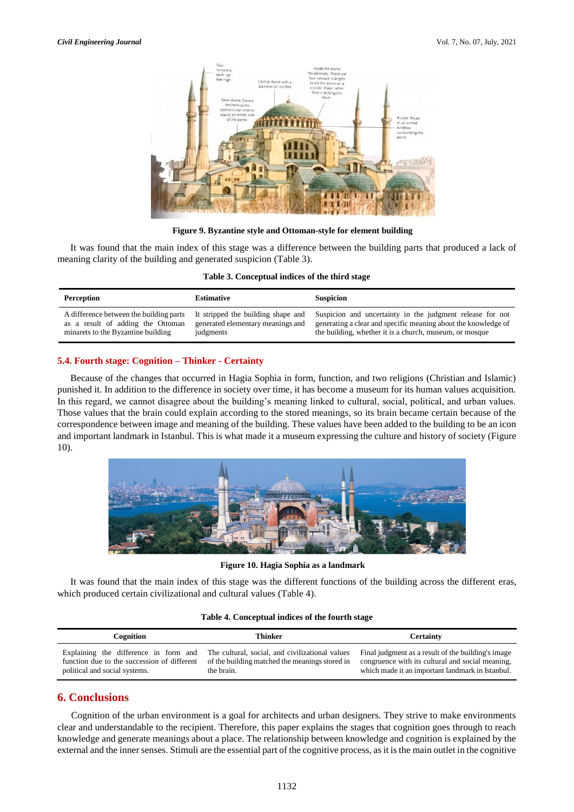

**Figure 9. Byzantine style and Ottoman-style for element building**

It was found that the main index of this stage was a difference between the building parts that produced a lack of meaning clarity of the building and generated suspicion (Table 3).

|  | Table 3. Conceptual indices of the third stage |  |  |  |  |
|--|------------------------------------------------|--|--|--|--|
|--|------------------------------------------------|--|--|--|--|

| Perception                              | <b>Estimative</b>                  | <b>Suspicion</b>                                               |
|-----------------------------------------|------------------------------------|----------------------------------------------------------------|
| A difference between the building parts | It stripped the building shape and | Suspicion and uncertainty in the judgment release for not      |
| as a result of adding the Ottoman       | generated elementary meanings and  | generating a clear and specific meaning about the knowledge of |
| minarets to the Byzantine building      | judgments                          | the building, whether it is a church, museum, or mosque        |

## **5.4. Fourth stage: Cognition – Thinker - Certainty**

Because of the changes that occurred in Hagia Sophia in form, function, and two religions (Christian and Islamic) punished it. In addition to the difference in society over time, it has become a museum for its human values acquisition. In this regard, we cannot disagree about the building's meaning linked to cultural, social, political, and urban values. Those values that the brain could explain according to the stored meanings, so its brain became certain because of the correspondence between image and meaning of the building. These values have been added to the building to be an icon and important landmark in Istanbul. This is what made it a museum expressing the culture and history of society (Figure 10).



**Figure 10. Hagia Sophia as a landmark**

It was found that the main index of this stage was the different functions of the building across the different eras, which produced certain civilizational and cultural values (Table 4).

# **Table 4. Conceptual indices of the fourth stage**

| Cognition                                   | Thinker                                         | <b>Certainty</b>                                   |
|---------------------------------------------|-------------------------------------------------|----------------------------------------------------|
| Explaining the difference in form and       | The cultural, social, and civilizational values | Final judgment as a result of the building's image |
| function due to the succession of different | of the building matched the meanings stored in  | congruence with its cultural and social meaning,   |
| political and social systems.               | the brain.                                      | which made it an important landmark in Istanbul.   |

# **6. Conclusions**

Cognition of the urban environment is a goal for architects and urban designers. They strive to make environments clear and understandable to the recipient. Therefore, this paper explains the stages that cognition goes through to reach knowledge and generate meanings about a place. The relationship between knowledge and cognition is explained by the external and the inner senses. Stimuli are the essential part of the cognitive process, as it is the main outlet in the cognitive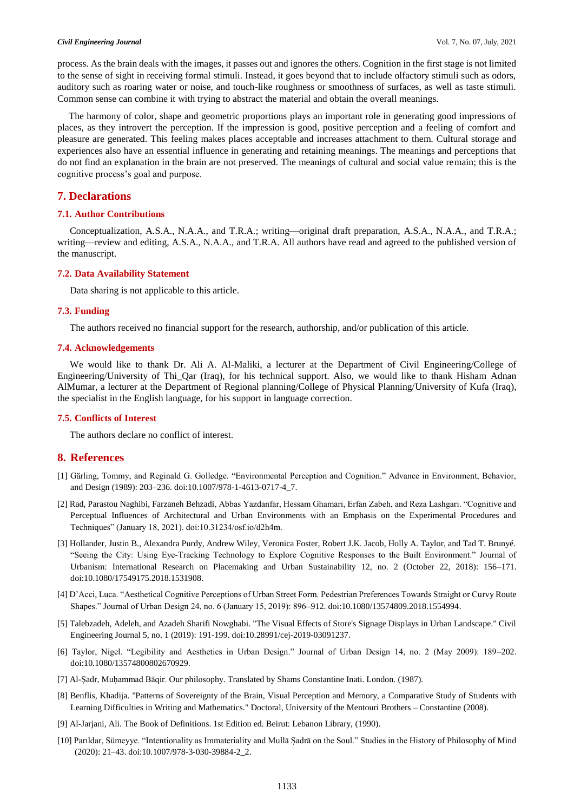#### *Civil Engineering Journal* Vol. 7, No. 07, July, 2021

process. As the brain deals with the images, it passes out and ignores the others. Cognition in the first stage is not limited to the sense of sight in receiving formal stimuli. Instead, it goes beyond that to include olfactory stimuli such as odors, auditory such as roaring water or noise, and touch-like roughness or smoothness of surfaces, as well as taste stimuli. Common sense can combine it with trying to abstract the material and obtain the overall meanings.

The harmony of color, shape and geometric proportions plays an important role in generating good impressions of places, as they introvert the perception. If the impression is good, positive perception and a feeling of comfort and pleasure are generated. This feeling makes places acceptable and increases attachment to them. Cultural storage and experiences also have an essential influence in generating and retaining meanings. The meanings and perceptions that do not find an explanation in the brain are not preserved. The meanings of cultural and social value remain; this is the cognitive process's goal and purpose.

# **7. Declarations**

# **7.1. Author Contributions**

Conceptualization, A.S.A., N.A.A., and T.R.A.; writing—original draft preparation, A.S.A., N.A.A., and T.R.A.; writing—review and editing, A.S.A., N.A.A., and T.R.A. All authors have read and agreed to the published version of the manuscript.

## **7.2. Data Availability Statement**

Data sharing is not applicable to this article.

# **7.3. Funding**

The authors received no financial support for the research, authorship, and/or publication of this article.

## **7.4. Acknowledgements**

We would like to thank Dr. Ali A. Al-Maliki, a lecturer at the Department of Civil Engineering/College of Engineering/University of Thi\_Qar (Iraq), for his technical support. Also, we would like to thank Hisham Adnan AlMumar, a lecturer at the Department of Regional planning/College of Physical Planning/University of Kufa (Iraq), the specialist in the English language, for his support in language correction.

# **7.5. Conflicts of Interest**

The authors declare no conflict of interest.

# **8. References**

- [1] Gärling, Tommy, and Reginald G. Golledge. "Environmental Perception and Cognition." Advance in Environment, Behavior, and Design (1989): 203–236. doi:10.1007/978-1-4613-0717-4\_7.
- [2] Rad, Parastou Naghibi, Farzaneh Behzadi, Abbas Yazdanfar, Hessam Ghamari, Erfan Zabeh, and Reza Lashgari. "Cognitive and Perceptual Influences of Architectural and Urban Environments with an Emphasis on the Experimental Procedures and Techniques" (January 18, 2021). doi:10.31234/osf.io/d2h4m.
- [3] Hollander, Justin B., Alexandra Purdy, Andrew Wiley, Veronica Foster, Robert J.K. Jacob, Holly A. Taylor, and Tad T. Brunyé. "Seeing the City: Using Eye-Tracking Technology to Explore Cognitive Responses to the Built Environment." Journal of Urbanism: International Research on Placemaking and Urban Sustainability 12, no. 2 (October 22, 2018): 156–171. doi:10.1080/17549175.2018.1531908.
- [4] D'Acci, Luca. "Aesthetical Cognitive Perceptions of Urban Street Form. Pedestrian Preferences Towards Straight or Curvy Route Shapes." Journal of Urban Design 24, no. 6 (January 15, 2019): 896–912. doi:10.1080/13574809.2018.1554994.
- [5] Talebzadeh, Adeleh, and Azadeh Sharifi Nowghabi. "The Visual Effects of Store's Signage Displays in Urban Landscape." Civil Engineering Journal 5, no. 1 (2019): 191-199. doi:10.28991/cej-2019-03091237.
- [6] Taylor, Nigel. "Legibility and Aesthetics in Urban Design." Journal of Urban Design 14, no. 2 (May 2009): 189–202. doi:10.1080/13574800802670929.
- [7] Al-Ṣadr, Muḥammad Bāqir. Our philosophy. Translated by Shams Constantine Inati. London. (1987).
- [8] Benflis, Khadija. "Patterns of Sovereignty of the Brain, Visual Perception and Memory, a Comparative Study of Students with Learning Difficulties in Writing and Mathematics." Doctoral, University of the Mentouri Brothers – Constantine (2008).
- [9] Al-Jarjani, Ali. The Book of Definitions. 1st Edition ed. Beirut: Lebanon Library, (1990).
- [10] Parıldar, Sümeyye. "Intentionality as Immateriality and Mullā Ṣadrā on the Soul." Studies in the History of Philosophy of Mind (2020): 21–43. doi:10.1007/978-3-030-39884-2\_2.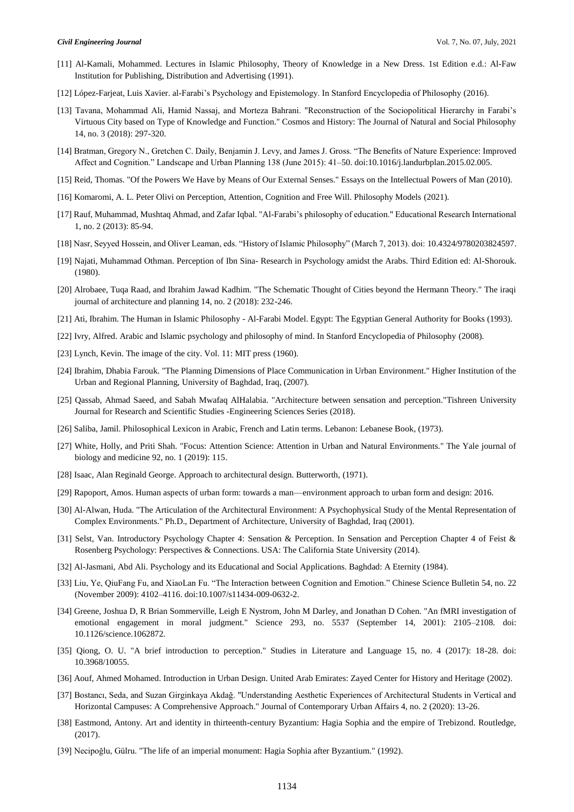- [11] Al-Kamali, Mohammed. Lectures in Islamic Philosophy, Theory of Knowledge in a New Dress. 1st Edition e.d.: Al-Faw Institution for Publishing, Distribution and Advertising (1991).
- [12] López-Farjeat, Luis Xavier. al-Farabi's Psychology and Epistemology. In Stanford Encyclopedia of Philosophy (2016).
- [13] Tavana, Mohammad Ali, Hamid Nassaj, and Morteza Bahrani. "Reconstruction of the Sociopolitical Hierarchy in Farabi's Virtuous City based on Type of Knowledge and Function." Cosmos and History: The Journal of Natural and Social Philosophy 14, no. 3 (2018): 297-320.
- [14] Bratman, Gregory N., Gretchen C. Daily, Benjamin J. Levy, and James J. Gross. "The Benefits of Nature Experience: Improved Affect and Cognition." Landscape and Urban Planning 138 (June 2015): 41–50. doi:10.1016/j.landurbplan.2015.02.005.
- [15] Reid, Thomas. "Of the Powers We Have by Means of Our External Senses." Essays on the Intellectual Powers of Man (2010).
- [16] Komaromi, A. L. Peter Olivi on Perception, Attention, Cognition and Free Will. Philosophy Models (2021).
- [17] Rauf, Muhammad, Mushtaq Ahmad, and Zafar Iqbal. "Al-Farabi's philosophy of education." Educational Research International 1, no. 2 (2013): 85-94.
- [18] Nasr, Seyyed Hossein, and Oliver Leaman, eds. "History of Islamic Philosophy" (March 7, 2013). doi: 10.4324/9780203824597.
- [19] Najati, Muhammad Othman. Perception of Ibn Sina- Research in Psychology amidst the Arabs. Third Edition ed: Al-Shorouk. (1980).
- [20] Alrobaee, Tuqa Raad, and Ibrahim Jawad Kadhim. "The Schematic Thought of Cities beyond the Hermann Theory." The iraqi journal of architecture and planning 14, no. 2 (2018): 232-246.
- [21] Ati, Ibrahim. The Human in Islamic Philosophy Al-Farabi Model. Egypt: The Egyptian General Authority for Books (1993).
- [22] Ivry, Alfred. Arabic and Islamic psychology and philosophy of mind. In Stanford Encyclopedia of Philosophy (2008).
- [23] Lynch, Kevin. The image of the city. Vol. 11: MIT press (1960).
- [24] Ibrahim, Dhabia Farouk. "The Planning Dimensions of Place Communication in Urban Environment." Higher Institution of the Urban and Regional Planning, University of Baghdad, Iraq, (2007).
- [25] Qassab, Ahmad Saeed, and Sabah Mwafaq AlHalabia. "Architecture between sensation and perception."Tishreen University Journal for Research and Scientific Studies -Engineering Sciences Series (2018).
- [26] Saliba, Jamil. Philosophical Lexicon in Arabic, French and Latin terms. Lebanon: Lebanese Book, (1973).
- [27] White, Holly, and Priti Shah. "Focus: Attention Science: Attention in Urban and Natural Environments." The Yale journal of biology and medicine 92, no. 1 (2019): 115.
- [28] Isaac, Alan Reginald George. Approach to architectural design. Butterworth, (1971).
- [29] Rapoport, Amos. Human aspects of urban form: towards a man—environment approach to urban form and design: 2016.
- [30] Al-Alwan, Huda. "The Articulation of the Architectural Environment: A Psychophysical Study of the Mental Representation of Complex Environments." Ph.D., Department of Architecture, University of Baghdad, Iraq (2001).
- [31] Selst, Van. Introductory Psychology Chapter 4: Sensation & Perception. In Sensation and Perception Chapter 4 of Feist & Rosenberg Psychology: Perspectives & Connections. USA: The California State University (2014).
- [32] Al-Jasmani, Abd Ali. Psychology and its Educational and Social Applications. Baghdad: A Eternity (1984).
- [33] Liu, Ye, QiuFang Fu, and XiaoLan Fu. "The Interaction between Cognition and Emotion." Chinese Science Bulletin 54, no. 22 (November 2009): 4102–4116. doi:10.1007/s11434-009-0632-2.
- [34] Greene, Joshua D, R Brian Sommerville, Leigh E Nystrom, John M Darley, and Jonathan D Cohen. "An fMRI investigation of emotional engagement in moral judgment." Science 293, no. 5537 (September 14, 2001): 2105–2108. doi: 10.1126/science.1062872.
- [35] Qiong, O. U. "A brief introduction to perception." Studies in Literature and Language 15, no. 4 (2017): 18-28. doi: 10.3968/10055.
- [36] Aouf, Ahmed Mohamed. Introduction in Urban Design. United Arab Emirates: Zayed Center for History and Heritage (2002).
- [37] Bostancı, Seda, and Suzan Girginkaya Akdağ. "Understanding Aesthetic Experiences of Architectural Students in Vertical and Horizontal Campuses: A Comprehensive Approach." Journal of Contemporary Urban Affairs 4, no. 2 (2020): 13-26.
- [38] Eastmond, Antony. Art and identity in thirteenth-century Byzantium: Hagia Sophia and the empire of Trebizond. Routledge, (2017).
- [39] Necipoğlu, Gülru. "The life of an imperial monument: Hagia Sophia after Byzantium." (1992).